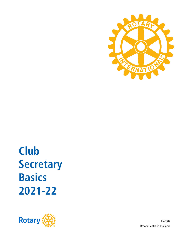

**2021-22 Basics Secretary Club**



EN-220 Rotary Centre in Thailand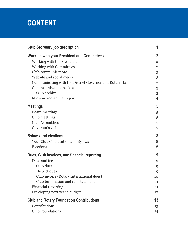# **CONTENT**

| <b>Club Secretary job description</b><br><b>Working with your President and Committees</b> |                |  |                            |
|--------------------------------------------------------------------------------------------|----------------|--|----------------------------|
|                                                                                            |                |  | Working with the President |
| <b>Working with Committees</b>                                                             | $\overline{2}$ |  |                            |
| Club communications                                                                        | 3              |  |                            |
| Website and social media                                                                   | 3              |  |                            |
| Communicating with the District Governor and Rotary staff                                  | 3              |  |                            |
| Club records and archives                                                                  | 3              |  |                            |
| Club archive                                                                               | 3              |  |                            |
| Midyear and annual report                                                                  | $\overline{4}$ |  |                            |
| <b>Meetings</b>                                                                            | 5              |  |                            |
| Board meetings                                                                             | 5              |  |                            |
| Club meetings                                                                              | 5              |  |                            |
| <b>Club Assemblies</b>                                                                     | 7              |  |                            |
| Governor's visit                                                                           | 7              |  |                            |
| <b>Bylaws and elections</b>                                                                |                |  |                            |
| Your Club Constitution and Bylaws                                                          | 8              |  |                            |
| Elections                                                                                  | 8              |  |                            |
| Dues, Club invoices, and financial reporting                                               | 9              |  |                            |
| Dues and fees                                                                              | 9              |  |                            |
| Club dues                                                                                  | 9              |  |                            |
| District dues                                                                              | 9              |  |                            |
| Club invoice (Rotary International dues)                                                   | 10             |  |                            |
| Club termination and reinstatement                                                         | 11             |  |                            |
| <b>Financial reporting</b>                                                                 | 11             |  |                            |
| Developing next year's budget                                                              | 12             |  |                            |
| <b>Club and Rotary Foundation Contributions</b>                                            | 13             |  |                            |
| Contributions                                                                              | 13             |  |                            |
| <b>Club Foundations</b>                                                                    | 14             |  |                            |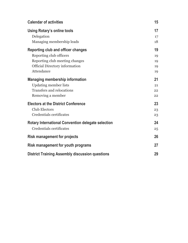| <b>Calendar of activities</b>                             | 15 |  |
|-----------------------------------------------------------|----|--|
| Using Rotary's online tools                               | 17 |  |
| Delegation                                                | 17 |  |
| Managing membership leads                                 | 18 |  |
| Reporting club and officer changes                        | 19 |  |
| Reporting club officers                                   | 19 |  |
| Reporting club meeting changes                            | 19 |  |
| <b>Official Directory information</b>                     | 19 |  |
| Attendance                                                | 19 |  |
| <b>Managing membership information</b>                    | 21 |  |
| <b>Updating member lists</b>                              | 21 |  |
| <b>Transfers and relocations</b>                          | 22 |  |
| Removing a member                                         | 22 |  |
| <b>Electors at the District Conference</b>                | 23 |  |
| <b>Club Electors</b>                                      | 23 |  |
| Credentials certificates                                  | 23 |  |
| <b>Rotary International Convention delegate selection</b> | 24 |  |
| Credentials certificates                                  | 25 |  |
| <b>Risk management for projects</b>                       |    |  |
| Risk management for youth programs                        |    |  |
| <b>District Training Assembly discussion questions</b>    |    |  |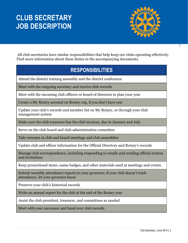# **CLUB SECRETARY JOB DESCRIPTION**



All club secretaries have similar responsibilities that help keep our clubs operating effectively. Find more information about these duties in the accompanying documents.

## **RESPONSIBILITIES**

Attend the district training assembly and the district conference

Meet with the outgoing secretary and receive club records

Meet with the incoming club officers or board of directors to plan your year

Create a My Rotary account on Rotary.org, if you don't have one

Update your club's records and member list on My Rotary, or through your club management system

Make sure the club treasurer has the club invoices, due in January and July

Serve on the club board and club administration committee

Take minutes at club and board meetings and club assemblies

Update club and officer information for the Official Directory and Rotary's records

Manage club correspondence, including responding to emails and sending official notices and invitations

Keep promotional items, name badges, and other materials used at meetings and events

Submit monthly attendance reports to your governor; if your club doesn't track attendance, let your governor know

Preserve your club's historical records

Write an annual report for the club at the end of the Rotary year

Assist the club president, treasurer, and committees as needed

Meet with your successor and hand over club records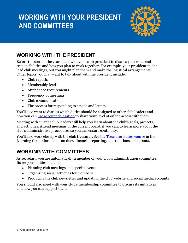# **WORKING WITH YOUR PRESIDENT AND COMMITTEES**



## **WORKING WITH THE PRESIDENT**

Before the start of the year, meet with your club president to discuss your roles and responsibilities and how you plan to work together. For example, your president might lead club meetings, but you might plan them and make the logistical arrangements. Other topics you may want to talk about with the president include:

- Club reports
- Membership leads
- Attendance requirements
- Frequency of meetings
- Club communications
- The process for responding to emails and letters

You'll also want to discuss which duties should be assigned to other club leaders and how you can [use account delegation](https://my.rotary.org/en/document/how-delegate-your-online-access) to share your level of online access with them.

Meeting with current club leaders will help you learn about the club's goals, projects, and activities. Attend meetings of the current board, if you can, to learn more about the club's administrative procedures so you can ensure continuity.

You'll also work closely with the club treasurer. See the [Treasurer Basics course](https://my.rotary.org/en/user/login?destination=/secure/13161) in the Learning Center for details on dues, financial reporting, contributions, and grants.

## **WORKING WITH COMMITTEES**

As secretary, you are automatically a member of your club's administration committee. Its responsibilities include:

- Planning club meetings and special events
- Organizing social activities for members
- Producing the club newsletter and updating the club website and social media accounts

You should also meet with your club's membership committee to discuss its initiatives and how you can support them.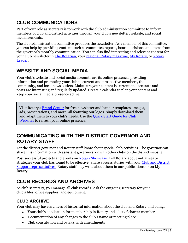## **CLUB COMMUNICATIONS**

Part of your role as secretary is to work with the club administration committee to inform members of club and district activities through your club's newsletter, website, and social media accounts.

The club administration committee produces the newsletter. As a member of this committee, you can help by providing content, such as committee reports, board decisions, and items from the governor's monthly communication. You can also find interesting and relevant content for your club newsletter in [The Rotarian,](https://my.rotary.org/en/news-media/magazines/rotarian) your [regional Rotary magazine,](https://my.rotary.org/en/news-media/regional-magazines) [My Rotary,](https://my.rotary.org/en) or [Rotary](http://www.rotaryleader-en.org/)  [Leader.](http://www.rotaryleader-en.org/)

## **WEBSITE AND SOCIAL MEDIA**

Your club's website and social media accounts are its online presence, providing information and promoting your club to current and prospective members, the community, and local news outlets. Make sure your content is current and accurate and posts are interesting and regularly updated. Create a calendar to plan your content and keep your social media presence active.

Visit Rotary's [Brand Center](https://my.rotary.org/secure/application/136) for free newsletter and banner templates, images, ads, presentations, and more, all featuring our logos. Simply download them and adapt them to your club's needs. Use the [Quick Start Guide for Club](https://my.rotary.org/en/document/quick-start-guide-club-websites)  [Websites](https://my.rotary.org/en/document/quick-start-guide-club-websites) to refresh your online presence.

### **COMMUNICATING WITH THE DISTRICT GOVERNOR AND ROTARY STAFF**

Let the district governor and Rotary staff know about special club activities. The governor can share this information with assistant governors, or with other clubs on the district website.

Post successful projects and events on [Rotary Showcase.](http://www.rotary.org/showcase) Tell Rotary about initiatives or strategies your club has found to be effective. Share success stories with your Club and District [Support representatives.](https://my.rotary.org/en/contact/representatives) Rotary staff may write about them in our publications or on My Rotary.

## **CLUB RECORDS AND ARCHIVES**

As club secretary, you manage all club records. Ask the outgoing secretary for your club's files, office supplies, and equipment.

### **CLUB ARCHIVE**

Your club may have archives of historical information about the club and Rotary, including:

- Your club's application for membership in Rotary and a list of charter members
- Documentation of any changes to the club's name or meeting place
- Club constitution and bylaws with amendments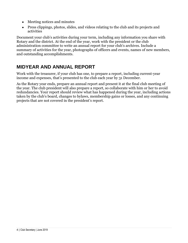- Meeting notices and minutes
- Press clippings, photos, slides, and videos relating to the club and its projects and activities

Document your club's activities during your term, including any information you share with Rotary and the district. At the end of the year, work with the president or the club administration committee to write an annual report for your club's archives. Include a summary of activities for the year, photographs of officers and events, names of new members, and outstanding accomplishments.

## **MIDYEAR AND ANNUAL REPORT**

Work with the treasurer, if your club has one, to prepare a report, including current-year income and expenses, that's presented to the club each year by 31 December.

As the Rotary year ends, prepare an annual report and present it at the final club meeting of the year. The club president will also prepare a report, so collaborate with him or her to avoid redundancies. Your report should review what has happened during the year, including actions taken by the club's board, changes to bylaws, membership gains or losses, and any continuing projects that are not covered in the president's report.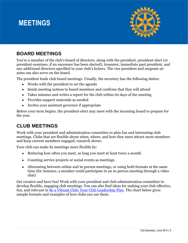## **MEETINGS**



## **BOARD MEETINGS**

You're a member of the club's board of directors, along with the president, president-elect (or president-nominee, if no successor has been elected), treasurer, immediate past president, and any additional directors specified in your club's bylaws. The vice president and sergeant-atarms can also serve on the board.

The president leads club board meetings. Usually, the secretary has the following duties:

- Works with the president to set the agenda
- Sends meeting notices to board members and confirms that they will attend
- Takes minutes and writes a report for the club within 60 days of the meeting
- Provides support materials as needed
- Invites your assistant governor if appropriate

Before your term begins, the president-elect may meet with the incoming board to prepare for the year.

## **CLUB MEETINGS**

Work with your president and administration committee to plan fun and interesting club meetings. Clubs that are flexible about when, where, and how they meet attract more members and keep current members engaged, research shows.

Your club can make its meetings more flexible by:

- Reducing how often you meet, as long you meet at least twice a month
- Counting service projects or social events as meetings
- Alternating between online and in-person meetings, or using both formats at the same time (for instance, a member could participate in an in-person meeting through a video chat)

Get creative and have fun! Work with your president and club administration committee to develop flexible, engaging club meetings. You can also find ideas for making your club effective, fun, and relevant in [Be a Vibrant Club: Your Club Leadership Plan.](https://www.rotary.org/myrotary/en/membership-resources#bevibrantclub) The chart below gives sample formats and examples of how clubs can use them.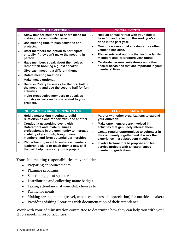|                                                                                                      | <b>REGULAR MEETINGS</b>                                                                                                                                                                                                                                                                                                                                                                                                                                                                                                                                                                                                                |                                                  | <b>SOCIAL EVENTS</b>                                                                                                                                                                                                                                                                                                                                                                   |
|------------------------------------------------------------------------------------------------------|----------------------------------------------------------------------------------------------------------------------------------------------------------------------------------------------------------------------------------------------------------------------------------------------------------------------------------------------------------------------------------------------------------------------------------------------------------------------------------------------------------------------------------------------------------------------------------------------------------------------------------------|--------------------------------------------------|----------------------------------------------------------------------------------------------------------------------------------------------------------------------------------------------------------------------------------------------------------------------------------------------------------------------------------------------------------------------------------------|
| $\bullet$<br>$\bullet$<br>$\bullet$<br>$\bullet$<br>$\bullet$<br>$\bullet$<br>$\bullet$<br>$\bullet$ | Allow time for members to share ideas for<br>making the community better.<br>Use meeting time to plan activities and<br>projects.<br>Offer members the option to participate<br>virtually if they can't make the meeting in<br>person.<br>Have members speak about themselves<br>rather than booking a guest speaker.<br>Give each meeting a different theme.<br>Rotate meeting locations.<br>Make meals optional.<br>Discuss Rotary business for the first half of<br>the meeting and use the second half for fun<br>activities.<br>Invite prospective members to speak as<br>industry experts on topics related to your<br>projects. | $\bullet$<br>$\bullet$<br>$\bullet$<br>$\bullet$ | Hold an annual retreat with your club to<br>have fun and reflect on the work you've<br>done in the past year.<br>Meet once a month at a restaurant or other<br>venue to socialize.<br>Plan events and outings that include family<br>members and Rotaractors year-round.<br>Celebrate personal milestones and other<br>special occasions that are important in your<br>members' lives. |
|                                                                                                      | <b>NETWORKING AND TRAINING EVENTS</b>                                                                                                                                                                                                                                                                                                                                                                                                                                                                                                                                                                                                  |                                                  | <b>SERVICE PROJECTS</b>                                                                                                                                                                                                                                                                                                                                                                |
| $\bullet$                                                                                            | Hold a networking meeting to build<br>relationships and rapport with one another.                                                                                                                                                                                                                                                                                                                                                                                                                                                                                                                                                      | $\bullet$                                        | Partner with other organizations to expand<br>vour outreach.                                                                                                                                                                                                                                                                                                                           |
| $\bullet$                                                                                            | Conduct a networking event with<br>Rotaractors and invite business<br>professionals in the community to increase<br>visibility of your club, bring in new<br>members, and form potential partnerships.                                                                                                                                                                                                                                                                                                                                                                                                                                 | $\bullet$<br>$\bullet$                           | Make sure members are involved in<br>activities that genuinely interest them.<br>Create regular opportunities to volunteer in<br>the community together and discuss the<br>experience in a subsequent meeting.                                                                                                                                                                         |
| $\bullet$                                                                                            | Plan a training event to enhance members'<br>leadership skills or teach them a new skill<br>that will help them carry out a project.                                                                                                                                                                                                                                                                                                                                                                                                                                                                                                   | $\bullet$                                        | Involve Rotaractors to propose and lead<br>service projects with an experienced<br>member to guide them.                                                                                                                                                                                                                                                                               |

Your club meeting responsibilities may include:

- Preparing announcements
- Planning programs
- Scheduling guest speakers
- Distributing and collecting name badges
- Taking attendance (if your club chooses to)
- Paying for meals
- Making arrangements (travel, expenses, letters of appreciation) for outside speakers
- Providing visiting Rotarians with documentation of their attendance

Work with your administration committee to determine how they can help you with your club's meeting responsibilities.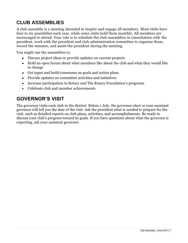## **CLUB ASSEMBLIES**

A club assembly is a meeting intended to inspire and engage all members. Most clubs have four to six assemblies each year, while some clubs hold them monthly. All members are encouraged to attend. Your role is to schedule the club assemblies in consultation with the president, work with the president and club administration committee to organize them, record the minutes, and assist the president during the meeting.

You might use the assemblies to:

- Discuss project ideas or provide updates on current projects
- Hold an open forum about what members like about the club and what they would like to change
- Get input and build consensus on goals and action plans
- Provide updates on committee activities and initiatives
- Increase participation in Rotary and The Rotary Foundation's programs
- Celebrate club and member achievements

### **GOVERNOR'S VISIT**

The governor visits each club in the district. Before 1 July, the governor-elect or your assistant governor will tell you the date of the visit. Ask the president what is needed to prepare for the visit, such as detailed reports on club plans, activities, and accomplishments. Be ready to discuss your club's progress toward its goals. If you have questions about what the governor is expecting, ask your assistant governor.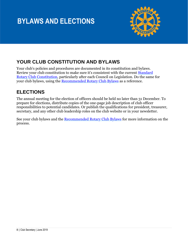# **BYLAWS AND ELECTIONS**



## **YOUR CLUB CONSTITUTION AND BYLAWS**

Your club's policies and procedures are documented in its constitution and bylaws. Review your club constitution to make sure it's consistent with the current [Standard](https://www.rotary.org/myrotary/en/document/632)  [Rotary Club Constitution,](https://www.rotary.org/myrotary/en/document/632) particularly after each Council on Legislation. Do the same for your club bylaws, using the [Recommended Rotary Club Bylaws](https://www.rotary.org/myrotary/en/document/607) as a reference.

## **ELECTIONS**

The annual meeting for the election of officers should be held no later than 31 December. To prepare for elections, distribute copies of the one-page job description of club officer responsibilities to potential candidates. Or publish the qualifications for president, treasurer, secretary, and any other club leadership roles on the club website or in your newsletter.

See your club bylaws and the [Recommended Rotary Club Bylaws](https://my.rotary.org/en/document/recommended-rotary-club-bylaws-doc) for more information on the process.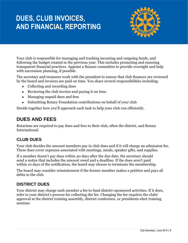# **DUES, CLUB INVOICES, AND FINANCIAL REPORTING**



Your club is responsible for managing and tracking incoming and outgoing funds, and following the budget created in the previous year. This includes promoting and ensuring transparent financial practices. Appoint a finance committee to provide oversight and help with succession planning, if possible.

The secretary and treasurer work with the president to ensure that club finances are reviewed by the board and invoices are paid on time. You share several responsibilities including:

- Collecting and recording dues
- Reviewing the club invoice and paying it on time
- Managing unpaid dues and fees
- Submitting Rotary Foundation contributions on behalf of your club

Decide together how you'll approach each task to help your club run efficiently.

## **DUES AND FEES**

Rotarians are required to pay dues and fees to their club, often the district, and Rotary International.

### **CLUB DUES**

Your club decides the amount members pay in club dues and if it will charge an admission fee. These dues cover expenses associated with meetings, meals, speaker gifts, and supplies.

If a member doesn't pay dues within 30 days after the due date, the secretary should send a notice that includes the amount owed and a deadline. If the dues aren't paid within 10 days of the notification, the board may choose to terminate the membership.

The board may consider reinstatement if the former member makes a petition and pays all debts to the club.

### **DISTRICT DUES**

Your district may charge each member a fee to fund district-sponsored activities. If it does, refer to your district's process for collecting the fee. Changing the fee requires the clubs' approval at the district training assembly, district conference, or presidents-elect training seminar.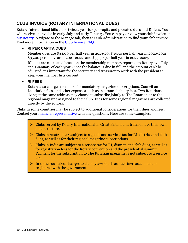### **CLUB INVOICE (ROTARY INTERNATIONAL DUES)**

Rotary International bills clubs twice a year for per-capita and prorated dues and RI fees. You will receive an invoice in early July and early January. You can pay or view your club invoice at [My Rotary.](https://my.rotary.org/en) Navigate to the Manage tab, then to Club Administration to find your club invoice. Find more information in the [Club Invoice FAQ.](https://my.rotary.org/en/club-invoice-faq)

#### • **RI PER CAPITA DUES**

Member dues are \$34.00 per half year in 2019-20, \$34.50 per half year in 2020-2021, \$35.00 per half year in 2021-2022, and \$35.50 per half year in 2022-2023.

RI dues are calculated based on the membership numbers reported to Rotary by 1 July and 1 January of each year. Since the balance is due in full and the amount can't be adjusted, it's important for the secretary and treasurer to work with the president to keep your member lists current.

#### • **RI FEES**

Rotary also charges members for mandatory magazine subscriptions, Council on Legislation fees, and other expenses such as insurance liability fees. Two Rotarians living at the same address may choose to subscribe jointly to The Rotarian or to the regional magazine assigned to their club. Fees for some regional magazines are collected directly by the editors.

Clubs in some countries may be subject to additional considerations for their dues and fees. Contact your [financial representative](https://my.rotary.org/en/contact/representatives) with any questions. Here are some examples:

- ➢ Clubs served by Rotary International in Great Britain and Ireland have their own dues structure.
- ➢ Clubs in Australia are subject to a goods and services tax for RI, district, and club dues, as well as for their regional magazine subscriptions.
- $\triangleright$  Clubs in India are subject to a service tax for RI, district, and club dues, as well as for registration fees for the Rotary convention and the presidential summit. Payment for the subscription to The Rotarian magazine is not subject to a service tax.
- ➢ In some countries, changes to club bylaws (such as dues increases) must be registered with the government.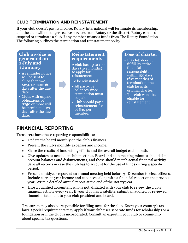### **CLUB TERMINATION AND REINSTATEMENT**

If your club doesn't pay its invoice, Rotary International will terminate its membership, and the club will no longer receive services from Rotary or the district. Rotary can also suspend or terminate a club if any member misuses funds from The Rotary Foundation. The following outlines the termination and reinstatement policy:

#### **Club invoice is generated on 1 July and 1 January**

- A reminder notice will be sent to clubs that owe \$250 or more 60 days after the due date.
- Clubs with unpaid obligations of \$250 or more will be terminated 120 days after the due date.

#### **Reinstatement requirements**

A club has up to 150 days (five months) to apply for reistatement.

#### To be reinstated:

- All past-due balances since termination must be paid.
- Club should pay a reinstatement fee of \$30 per member.

#### **Loss of charter**

- If a club doesn't fulfill its entire financial responsibility within 150 days (five months) of termination, the club loses its original charter.
- The club won't be eligible for reinstatement.

### **FINANCIAL REPORTING**

Treasurers have these reporting responsibilities:

- Update the board monthly on the club's finances.
- Present the club's monthly expenses and income.
- Share the results of fundraising efforts and the overall budget each month.
- Give updates as needed at club meetings. Board and club meeting minutes should list account balances and disbursements, and these should match actual financial activity. Save all records in case the club has to account for the use of funds during a specific period.
- Present a midyear report at an annual meeting held before 31 December to elect officers. Include current-year income and expenses, along with a financial report on the previous year. Write a detailed annual report at the end of the Rotary year.
- Hire a qualified accountant who is not affiliated with your club to review the club's financial activity every year. If your club has a satellite, submit an audited or reviewed financial statement to your club president and board.

Treasurers may also be responsible for filing taxes for the club. Know your country's tax laws. Special requirements may apply if your club uses separate funds for scholarships or a foundation or if the club is incorporated. Consult an expert in your club or community about specific tax questions.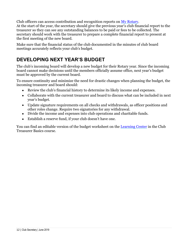Club officers can access contribution and recognition reports on [My Rotary.](https://my.rotary.org/en) At the start of the year, the secretary should give the previous year's club financial report to the treasurer so they can see any outstanding balances to be paid or fees to be collected. The secretary should work with the treasurer to prepare a complete financial report to present at the first meeting of the new board.

Make sure that the financial status of the club documented in the minutes of club board meetings accurately reflects your club's budget.

## **DEVELOPING NEXT YEAR'S BUDGET**

The club's incoming board will develop a new budget for their Rotary year. Since the incoming board cannot make decisions until the members officially assume office, next year's budget must be approved by the current board.

To ensure continuity and minimize the need for drastic changes when planning the budget, the incoming treasurer and board should:

- Review the club's financial history to determine its likely income and expenses.
- Collaborate with the current treasurer and board to discuss what can be included in next year's budget.
- Update signature requirements on all checks and withdrawals, as officer positions and other roles change. Require two signatories for any withdrawal.
- Divide the income and expenses into club operations and charitable funds.
- Establish a reserve fund, if your club doesn't have one.

You can find an editable version of the budget worksheet on the [Learning Center](file://///RI-FS13/RotaryShared/SME%20Edits/Club%20Committee%20Course%20Materials/Club%20Treasurer/EN/COL%20Changes%202019/Rotary.org/learn) in the Club Treasurer Basics course.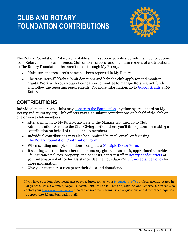# **CLUB AND ROTARY FOUNDATION CONTRIBUTIONS**



The Rotary Foundation, Rotary's charitable arm, is supported solely by voluntary contributions from Rotary members and friends. Club officers process and maintain records of contributions to The Rotary Foundation that aren't made through My Rotary.

- Make sure the treasurer's name has been reported in My Rotary.
- The treasurer will likely submit donations and help the club apply for and monitor grants. Work with your Rotary Foundation committee to manage Rotary grant funds and follow the reporting requirements. For more information, go to [Global Grants](https://my.rotary.org/en/take-action/apply-grants/global-grants) at My Rotary.

### **CONTRIBUTIONS**

Individual members and clubs may [donate to the Foundation](https://www.rotary.org/en/donate) any time by credit card on My Rotary and at Rotary.org. Club officers may also submit contributions on behalf of the club or one or more club members:

- After signing in to My Rotary, navigate to the Manage tab, then go to Club Administration. Scroll to the Club Giving section where you'll find options for making a contribution on behalf of a club or club members.
- Individual contributions may also be submitted by mail, email, or fax using [The Rotary Foundation Contribution Form.](https://www.rotary.org/myrotary/en/document/469)
- When sending multiple donations, complete a [Multiple Donor Form.](https://www.rotary.org/myrotary/en/document/10636)
- If sending contributions other than monetary gifts such as stock, appreciated securities, life insurance policies, property, and bequests, contact staff at [Rotary headquarters](https://my.rotary.org/en/contact/representatives) or your international office for assistance. See the Foundation's [Gift Acceptance Policy](https://www.rotary.org/myrotary/en/document/10936) for more information.
- Give your members a receipt for their dues and donations.

If you have questions about local laws or procedures, contact your [international office](https://www.rotary.org/myrotary/en/international-offices-0) or fiscal agents, located in Bangladesh, Chile, Colombia, Nepal, Pakistan, Peru, Sri Lanka, Thailand, Ukraine, and Venezuela. You can also contact your [financial representatives](https://www.rotary.org/myrotary/en/contact/representatives), who can answer many administrative questions and direct other inquiries to appropriate RI and Foundation staff.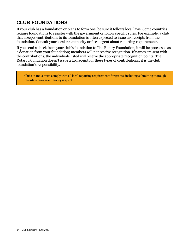## **CLUB FOUNDATIONS**

If your club has a foundation or plans to form one, be sure it follows local laws. Some countries require foundations to register with the government or follow specific rules. For example, a club that accepts contributions to its foundation is often expected to issue tax receipts from the foundation. Consult your local tax authority or fiscal agent about reporting requirements.

If you send a check from your club's foundation to The Rotary Foundation, it will be processed as a donation from your foundation; members will not receive recognition. If names are sent with the contributions, the individuals listed will receive the appropriate recognition points. The Rotary Foundation doesn't issue a tax receipt for these types of contributions; it is the club foundation's responsibility.

Clubs in India must comply with all local reporting requirements for grants, including submitting thorough records of how grant money is spent.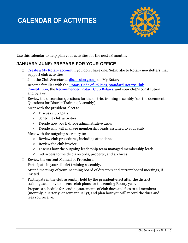# **CALENDAR OF ACTIVITIES**



Use this calendar to help plan your activities for the next 18 months.

### **JANUARY-JUNE: PREPARE FOR YOUR OFFICE**

- [Create a My Rotary account](https://my.rotary.org/en/document/how-create-my-rotary-account) if you don't have one. Subscribe to Rotary newsletters that support club activities.
- $\Box$  Join the Club Secretaries [discussion group](https://my.rotary.org/en/exchange-ideas/groups/club-secretaries) on My Rotary.
- $\Box$  Become familiar with the [Rotary Code of Policies,](https://my.rotary.org/en/document/rotary-code-policies) Standard Rotary Club [Constitution,](https://my.rotary.org/en/document/standard-rotary-club-constitution) the [Recommended Rotary Club Bylaws](https://my.rotary.org/en/document/recommended-rotary-club-bylaws), and your club's constitution and bylaws.
- $\Box$  Review the discussion questions for the district training assembly (see the document Questions for District Training Assembly).
- $\Box$  Meet with the president-elect to:
	- o Discuss club goals
	- o Schedule club activities
	- o Decide how you'll divide administrative tasks
	- o Decide who will manage membership leads assigned to your club
- $\Box$  Meet with the outgoing secretary to:
	- o Review club procedures, including attendance
	- o Review the club invoice
	- o Discuss how the outgoing leadership team managed membership leads
	- o Get access to the club's records, property, and archives
- Review the current Manual of Procedure.
- $\Box$  Participate in your district training assembly.
- $\Box$  Attend meetings of your incoming board of directors and current board meetings, if invited.
- $\Box$  Participate in the club assembly held by the president-elect after the district training assembly to discuss club plans for the coming Rotary year.
- $\Box$  Prepare a schedule for sending statements of club dues and fees to all members (monthly, quarterly, or semiannually), and plan how you will record the dues and fees you receive.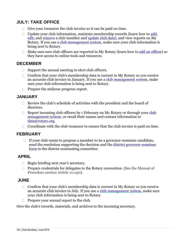### **JULY: TAKE OFFICE**

- $\Box$  Give your treasurer the club invoice so it can be paid on time.
- $\Box$  Update your club information, maintain membership records (learn how to [add,](https://my.rotary.org/en/document/how-add-member) [edit,](https://my.rotary.org/en/document/how-edit-member-information) and [remove](https://my.rotary.org/en/document/how-remove-member) a club member and [update club data\)](http://www.rotary.org/myrotary/en/document/how-update-club-data), and view reports on My Rotary. If you use a [club management system,](https://my.rotary.org/en/manage/community-marketplace/club-management-systems-website-vendors) make sure your club information is being sent to Rotary.
- $\Box$  Make sure new club officers are reported in My Rotary (learn how to [add an officer\)](https://my.rotary.org/en/document/how-add-club-officer) so they have access to online tools and resources.

### **DECEMBER**

- $\Box$  Support the annual meeting to elect club officers.
- $\Box$  Confirm that your club's membership data is current in My Rotary so you receive an accurate club invoice in January. If you use a [club management system,](https://my.rotary.org/en/manage/community-marketplace/club-management-systems-website-vendors) make sure your club information is being sent to Rotary.
- $\Box$  Prepare the midyear progress report.

#### **JANUARY**

- $\Box$  Review the club's schedule of activities with the president and the board of directors.
- $\Box$  Report incoming [club](https://my.rotary.org/en/manage/community-marketplace/club-management-systems-website-vendors) officers by 1 February on My Rotary or through your club [management system,](https://my.rotary.org/en/manage/community-marketplace/club-management-systems-website-vendors) or email their names and contact information to [data@rotary.org.](mailto:data@rotary.org)
- $\Box$  Coordinate with the club treasurer to ensure that the club invoice is paid on time.

### **FEBRUARY**

 $\Box$  If your club wants to propose a member to be a governor-nominee candidate, send the resolution supporting the decision and the [district governor-nominee](https://www.rotary.org/myrotary/en/document/district-governor-nominee-form)  [form](https://www.rotary.org/myrotary/en/document/district-governor-nominee-form) to the district nominating committee.

### **APRIL**

- $\Box$  Begin briefing next year's secretary.
- $\Box$  Prepare credentials for delegates to the Rotary convention. (See the Manual of Procedure section Article 10.050).

#### **JUNE**

- $\Box$  Confirm that your club's membership data is current in My Rotary so you receive an accurate club invoice in July. If you use a [club management system,](https://my.rotary.org/en/manage/community-marketplace/club-management-systems-website-vendors) make sure your club information is being sent to Rotary.
- $\Box$  Prepare your annual report to the club.

Give the club's records, materials, and archives to the incoming secretary.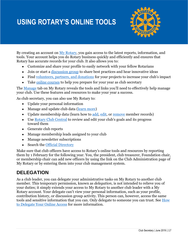# **USING ROTARY'S ONLINE TOOLS**



By creating an account on [My Rotary,](https://my.rotary.org/en) you gain access to the latest reports, information, and tools. Your account helps you do Rotary business quickly and efficiently and ensures that Rotary has accurate records for your club. It also allows you to:

- Customize and share your profile to easily network with your fellow Rotarians
- Join or start a [discussion group](https://www.rotary.org/myrotary/en/exchange-ideas/groups) to share best practices and hear innovative ideas
- Find [volunteers, partners, and donations](http://ideas.rotary.org/) for your projects to increase your club's impact
- Take [online courses](https://my.rotary.org/secure/application/261) to help you prepare for your year as club secretary

The [Manage](http://www.rotary.org/myrotary/en/manage) tab on My Rotary reveals the tools and links you'll need to effectively help manage your club. Use these features and resources to make your year a success.

As club secretary, you can also use My Rotary to:

- Update your personal information
- Manage and update club data [\(learn more\)](https://www.rotary.org/myrotary/en/document/how-update-club-data)
- Update membership data (learn how to [add,](https://my.rotary.org/en/document/how-add-member) [edit,](https://my.rotary.org/en/document/how-edit-member-information) or [remove](https://my.rotary.org/en/document/how-remove-member) member records)
- Use [Rotary Club Central](https://www.rotary.org/myrotary/en/secure/13301) to review and edit your club's goals and its progress toward them
- Generate club reports
- Manage membership leads assigned to your club
- Manage newsletter subscriptions
- Search the **Official Directory**

Make sure that club officers have access to Rotary's online tools and resources by reporting them by 1 February for the following year. You, the president, club treasurer, Foundation chair, or membership chair can add new officers by using the link on the Club Administration page of My Rotary or by entering them into your club management system.

### **DELEGATION**

As a club leader, you can delegate your administrative tasks on My Rotary to another club member. This temporary permission, known as *delegation*, is not intended to relieve you of your duties; it simply extends your access to My Rotary to another club leader with a My Rotary account. Your delegate can't view your personal information, such as your profile, contribution history, or discussion group activity. This person can, however, access the same tools and sensitive information that you can. Only delegate to someone you can trust. See [How](https://my.rotary.org/en/document/how-delegate-your-online-access)  [to Delegate Your Online Access](https://my.rotary.org/en/document/how-delegate-your-online-access) for more information.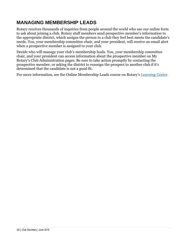## **MANAGING MEMBERSHIP LEADS**

Rotary receives thousands of inquiries from people around the world who use our online form to ask about joining a club. Rotary staff members send prospective member's information to the appropriate district, which assigns the person to a club they feel best meets the candidate's needs. You, your membership committee chair, and your president, will receive an email alert when a prospective member is assigned to your club.

Decide who will manage your club's membership leads. You, your membership committee chair, and your president can access information about the prospective member on [My](https://www.rotary.org/myrotary/en/manage/club-district-administration/district-administration)  Rotary's Club [Administration](https://www.rotary.org/myrotary/en/manage/club-district-administration/district-administration) pages. Be sure to take action promptly by contacting the prospective member, or asking the district to reassign the prospect to another club if it's determined that the candidate is not a good fit.

For more information, see the Online Membership Leads course on Rotary's [Learning Center.](https://my.rotary.org/secure/application/261)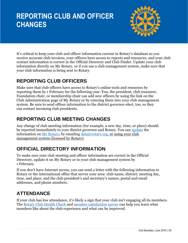# **REPORTING CLUB AND OFFICER CHANGES**



It's critical to keep your club and officer information current in Rotary's database so you receive accurate club invoices, your officers have access to reports and resources, and your club contact information is correct in the Official Directory and Club Finder. Update your club information directly on My Rotary, or if you use a club management system, make sure that your club information is being sent to Rotary.

## **REPORTING CLUB OFFICERS**

Make sure that club officers have access to Rotary's online tools and resources by reporting them by 1 February for the following year. You, the president, club treasurer, Foundation chair, or membership chair can add new officers by using the link on the Club Administration page of My Rotary or by entering them into your club management system. Be sure to send officer information to the district governor-elect, too, so they can contact incoming club presidents.

## **REPORTING CLUB MEETING CHANGES**

Any change of club meeting information (for example, a new day, time, or place) should be reported immediately to your district governor and Rotary. You can [update](http://www.rotary.org/myrotary/en/document/how-update-club-data) the information on [My Rotary,](https://my.rotary.org/en/manage/club-district-administration/club-administration) by emailing  $data@rotary.org$ , or using your club management system (licensed by Rotary).

## **OFFICIAL DIRECTORY INFORMATION**

To make sure your club meeting and officer information are correct in the Official Directory, update it on My Rotary or in your club management system by 1 February.

If you don't have Internet access, you can send a letter with the following information to Rotary or the international office that serves your area: club name; district; meeting day, time, and place; and the club president's and secretary's names, postal and email addresses, and phone numbers.

## **ATTENDANCE**

If your club has low attendance, it's likely a sign that your club isn't engaging all its members. The [Rotary Club Health Check](https://my.rotary.org/en/document/rotary-club-health-check) and [member satisfaction survey](https://my.rotary.org/en/document/enhancing-club-experience-member-satisfaction-survey) can help you learn what members like about the club experience and what can be improved.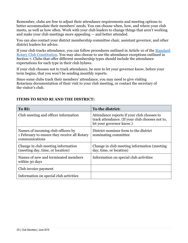Remember, clubs are free to adjust their attendance requirements and meeting options to better accommodate their members' needs. You can choose when, how, and where your club meets, as well as how often. Work with your club leaders to change things that aren't working and make your club meetings more appealing — and better attended.

You can also contact your district membership committee chair, assistant governor, and other district leaders for advice.

If your club tracks attendance, you can follow procedures outlined in Article 10 of the [Standard](https://my.rotary.org/en/document/standard-rotary-club-constitution)  [Rotary Club Constitution.](https://my.rotary.org/en/document/standard-rotary-club-constitution) You may also choose to use the attendance exceptions outlined in Section 7. Clubs that offer different membership types should include the attendance expectations for each type in their club bylaws.

If your club chooses not to track attendance, be sure to let your governor know, before your term begins, that you won't be sending monthly reports.

Since some clubs track their members' attendance, you may need to give visiting Rotarians documentation of their visit to your club meeting, or contact the secretary of the visitor's club.

| To RI:                                                                                               | To the district:                                                                                                          |
|------------------------------------------------------------------------------------------------------|---------------------------------------------------------------------------------------------------------------------------|
| Club meeting and officer information                                                                 | Attendance reports if your club chooses to<br>track attendance. (If your club chooses not to,<br>let your governor know.) |
| Names of incoming club officers by<br>1 February to ensure they receive all Rotary<br>communications | District-nominee form to the district<br>nominating committee.                                                            |
| Change in club meeting information<br>(meeting day, time, or location)                               | Change in club meeting information (meeting<br>day, time, or location)                                                    |
| Names of new and terminated members<br>within 30 days                                                | Information on special club activities                                                                                    |
| Club invoice payment                                                                                 |                                                                                                                           |
| Information on special club activities                                                               |                                                                                                                           |

#### **ITEMS TO SEND RI AND THE DISTRICT:**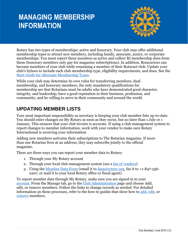# **MANAGING MEMBERSHIP INFORMATION**



Rotary has two types of memberships: active and honorary. Your club may offer additional membership types to attract new members, including family, associate, junior, or corporate memberships. You must report these members as active and collect RI membership dues from them (honorary members only pay for magazine subscriptions). In addition, Rotaractors can become members of your club while remaining a member of their Rotaract club. Update your club's bylaws to include each club membership type, eligibility requirements, and dues. See the [Start Guide for Alternate Membership Types.](https://my.rotary.org/en/document/start-guide-alternative-membership-types)

While your club may determine its own rules for transferring members, dual membership, and honorary members, the only mandatory qualifications for membership are that Rotarians must be adults who have demonstrated good character, integrity, and leadership; have a good reputation in their business, profession, and community; and be willing to serve in their community and around the world.

## **UPDATING MEMBER LISTS**

Your most important responsibility as secretary is keeping your club member lists up-to-date. You should enter changes on My Rotary as soon as they occur, but no later than 1 July or 1 January. This ensures that your club invoice is accurate. If using a club management system to report changes to member information, work with your vendor to make sure Rotary International is receiving your information.

Adding new members activates their subscriptions to The Rotarian magazine. If more than one Rotarian lives at an address, they may subscribe jointly to the official magazine.

There are three ways you can report your member data to Rotary:

- 1. Through your My Rotary account
- 2. Through your local club management system (see a [list of vendors\)](https://my.rotary.org/en/manage/community-marketplace/club-management-systems-website-vendors)
- 3. Using the [Member Data Form](https://www.rotary.org/myrotary/en/document/member-data-form) (email it to [data@rotary.org,](mailto:data@rotary.org) fax it to +1-847-556-2207, or mail it to your local Rotary office or fiscal agent)

To report member data through My Rotary, make sure you are signed in to your [account.](https://my.rotary.org/en/document/how-create-my-rotary-account) From the Manage tab, go to the [Club Administration](https://my.rotary.org/en/manage/club-district-administration/club-administration) page and choose Add, edit, or remove members. Follow the links to change records as needed. For detailed information on these processes, refer to the how-to guides that show how to [add,](https://my.rotary.org/en/document/how-add-member) [edit,](https://my.rotary.org/en/document/how-edit-member-information) or [remove](https://my.rotary.org/en/document/how-remove-member) members.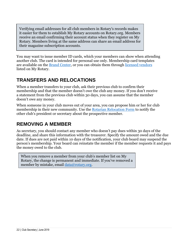Verifying email addresses for all club members in Rotary's records makes it easier for them to establish My Rotary accounts on Rotary.org. Members receive an email confirming their account status when they register on My Rotary. Members living at the same address can share an email address for their magazine subscription accounts.

You may want to issue member ID cards, which your members can show when attending another club. The card is intended for personal use only. Membership card templates are available on the [Brand Center,](https://my.rotary.org/secure/application/136) or you can obtain them through [licensed vendors](https://www.rotary.org/myrotary/en/manage/products-literature/licensed-vendors) listed on My Rotary.

## **TRANSFERS AND RELOCATIONS**

When a member transfers to your club, ask their previous club to confirm their membership and that the member doesn't owe the club any money. If you don't receive a statement from the previous club within 30 days, you can assume that the member doesn't owe any money.

When someone in your club moves out of your area, you can propose him or her for club membership in their new community. Use the [Rotarian Relocation Form](https://rotary.qualtrics.com/SE/?SID=SV_d556fFzzcj94aCF) to notify the other club's president or secretary about the prospective member.

## **REMOVING A MEMBER**

As secretary, you should contact any member who doesn't pay dues within 30 days of the deadline, and share this information with the treasurer. Specify the amount owed and the due date. If dues are not paid within 10 days of the notification, your club board may suspend the person's membership. Your board can reinstate the member if the member requests it and pays the money owed to the club.

When you remove a member from your club's member list on My Rotary, the change is permanent and immediate. If you've removed a member by mistake, email [data@rotary.org.](file:///C:/Users/mcpeakm/AppData/Roaming/Microsoft/Word/data@rotary.org)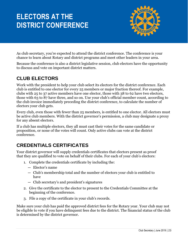# **ELECTORS AT THE DISTRICT CONFERENCE**



As club secretary, you're expected to attend the district conference. The conference is your chance to learn about Rotary and district programs and meet other leaders in your area.

Because the conference is also a district legislative session, club electors have the opportunity to discuss and vote on important district matters.

### **CLUB ELECTORS**

Work with the president to help your club select its electors for the district conference. Each club is entitled to one elector for every 25 members or major fraction thereof. For example, clubs with 25 to 37 active members have one elector, those with 38 to 62 have two electors, those with 63 to 87 have three, and so on. Use your club's official member count, according to the club invoice immediately preceding the district conference, to calculate the number of electors your club gets.

Every club, even those with fewer than 25 members, is entitled to one elector. All electors must be active club members. With the district governor's permission, a club may designate a proxy for any absent electors.

If a club has multiple electors, they all must cast their votes for the same candidate or proposition, or none of the votes will count. Only active clubs can vote at the district conference.

## **CREDENTIALS CERTIFICATES**

Your district governor will supply credentials certificates that electors present as proof that they are qualified to vote on behalf of their clubs. For each of your club's electors:

- 1. Complete the credentials certificate by including the:
	- Elector's name
	- Club's membership total and the number of electors your club is entitled to have
	- Club secretary's and president's signatures
- 2. Give the certificate to the elector to present to the Credentials Committee at the beginning of the conference.
- 3. File a copy of the certificate in your club's records.

Make sure your club has paid the approved district fees for the Rotary year. Your club may not be eligible to vote if you have delinquent fees due to the district. The financial status of the club is determined by the district governor.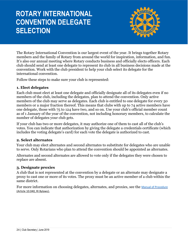# **ROTARY INTERNATIONAL CONVENTION DELEGATE SELECTION**



The Rotary International Convention is our largest event of the year. It brings together Rotary members and the family of Rotary from around the world for inspiration, information, and fun. It's also our annual meeting where Rotary conducts business and officially elects officers. Each club should send at least one delegate to represent its club in all business decisions made at the convention. Work with the club president to help your club select its delegate for the international convention.

Follow these steps to make sure your club is represented:

#### **1. Elect delegates**

Each club must elect at least one delegate and officially designate all of its delegates even if no members of the club, including the delegates, plan to attend the convention. Only active members of the club may serve as delegates. Each club is entitled to one delegate for every 50 members or a major fraction thereof. This means that clubs with up to 74 active members have one delegate, those with 75 to 124 have two, and so on. Use your club's official member count as of 1 January of the year of the convention, not including honorary members, to calculate the number of delegates your club gets.

If your club has two or more delegates, it may authorize one of them to cast all of the club's votes. You can indicate that authorization by giving the delegate a credentials certificate (which includes the voting delegate's card) for each vote the delegate is authorized to cast.

#### **2. Select alternates**

Your club may elect alternates and second alternates to substitute for delegates who are unable to serve. Only Rotarians who plan to attend the convention should be appointed as alternates.

Alternates and second alternates are allowed to vote only if the delegates they were chosen to replace are absent.

#### **3. Designate proxies**

A club that is not represented at the convention by a delegate or an alternate may designate a proxy to cast one or more of its votes. The proxy must be an active member of a club within the same district.

For more information on choosing delegates, alternates, and proxies, see the [Manual of Procedure](https://www.rotary.org/myrotary/en/document/468) (Article 10.040, RI Bylaws).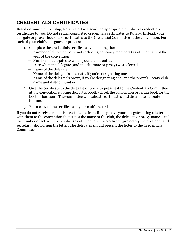## **CREDENTIALS CERTIFICATES**

Based on your membership, Rotary staff will send the appropriate number of credentials certificates to you. Do not return completed credentials certificates to Rotary. Instead, your delegate or proxy should take certificates to the Credential Committee at the convention. For each of your club's delegates or proxies:

- 1. Complete the credentials certificate by including the:
	- Number of club members (not including honorary members) as of 1 January of the year of the convention
	- Number of delegates to which your club is entitled
	- Date when the delegate (and the alternate or proxy) was selected
	- Name of the delegate
	- Name of the delegate's alternate, if you're designating one
	- Name of the delegate's proxy, if you're designating one, and the proxy's Rotary club name and district number
- 2. Give the certificate to the delegate or proxy to present it to the Credentials Committee at the convention's voting delegates booth (check the convention program book for the booth's location). The committee will validate certificates and distribute delegate buttons.
- 3. File a copy of the certificate in your club's records.

If you do not receive credentials certificates from Rotary, have your delegates bring a letter with them to the convention that states the name of the club, the delegate or proxy names, and the number of active club members as of 1 January. Two officers (preferably the president and secretary) should sign the letter. The delegates should present the letter to the Credentials Committee.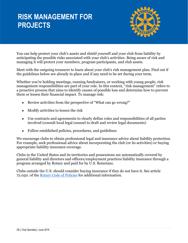# **RISK MANAGEMENT FOR PROJECTS**



You can help protect your club's assets and shield yourself and your club from liability by anticipating the possible risks associated with your club's activities. Being aware of risk and managing it will protect your members, program participants, and club assets.

Meet with the outgoing treasurer to learn about your club's risk management plan. Find out if the guidelines below are already in place and if any need to be set during your term.

Whether you're holding meetings, running fundraisers, or working with young people, risk management responsibilities are part of your role. In this context, "risk management" refers to a proactive process that aims to identify causes of possible loss and determine how to prevent them or lessen their financial impact. To manage risk:

- Review activities from the perspective of "What can go wrong?"
- Modify activities to lessen the risk
- Use contracts and agreements to clearly define roles and responsibilities of all parties involved (consult local legal counsel to draft and review legal documents)
- Follow established policies, procedures, and guidelines

We encourage clubs to obtain professional legal and insurance advice about liability protection. For example, seek professional advice about incorporating the club (or its activities) or buying appropriate liability insurance coverage.

Clubs in the United States and its territories and possessions are automatically covered by general liability and directors and officers/employment practices liability insurance through a program arranged by Rotary and paid for by U.S. Rotarians.

Clubs outside the U.S. should consider buying insurance if they do not have it. See article 72.050. of the [Rotary Code of Policies](https://my.rotary.org/en/document/rotary-code-policies) for additional information.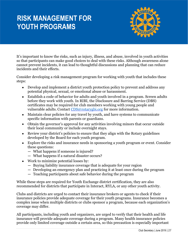# **RISK MANAGEMENT FOR YOUTH PROGRAMS**



It's important to know the risks, such as injury, illness, and abuse, involved in youth activities so that participants can make good choices to deal with these risks. Although awareness alone cannot prevent incidents, it can lead to thoughtful discussions and planning that can reduce incidents and their effects.

Consider developing a risk management program for working with youth that includes these steps:

- Develop and implement a district youth protection policy to prevent and address any potential physical, sexual, or emotional abuse or harassment.
- Establish a code of behavior for adults and youth involved in a program. Screen adults before they work with youth. In RIBI, the Disclosure and Barring Service (DBS) certificates may be required for club members working with young people and vulnerable adults. Contact [CDS@rotarygbi.org](mailto:CDS@rotarygbi.org) for more information.
- Maintain clear policies for any travel by youth, and have systems to communicate specific information with parents or guardians.
- Obtain the governor's approval for any activities involving minors that occur outside their local community or include overnight stays.
- Review your district's policies to ensure that they align with the Rotary guidelines developed by the Board for each youth program.
- Explore the risks and insurance needs in sponsoring a youth program or event. Consider these questions:
	- What happens if someone is injured?
	- What happens if a natural disaster occurs?
- Work to minimize potential losses by:
	- Buying liability insurance coverage that is adequate for your region
	- Developing an emergency plan and practicing it at least once during the program
	- Teaching participants about safe behavior during the program

While these steps are required for Youth Exchange district certification, they are also recommended for districts that participate in Interact, RYLA, or any other youth activity.

Clubs and districts are urged to contact their insurance brokers or agents to check if their insurance policies provide adequate coverage for their youth programs. Insurance becomes a complex issue when multiple districts or clubs sponsor a program, because each organization's coverage may differ.

All participants, including youth and organizers, are urged to verify that their health and life insurance will provide adequate coverage during a program. Many health insurance policies provide only limited coverage outside a certain area, so this precaution is especially important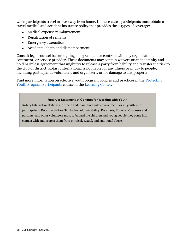when participants travel or live away from home. In these cases, participants must obtain a travel medical and accident insurance policy that provides these types of coverage:

- Medical expense reimbursement
- Repatriation of remains
- Emergency evacuation
- Accidental death and dismemberment

Consult legal counsel before signing an agreement or contract with any organization, contractor, or service provider. These documents may contain waivers or an indemnity and hold harmless agreement that might try to release a party from liability and transfer the risk to the club or district. Rotary International is not liable for any illness or injury to people, including participants, volunteers, and organizers, or for damage to any property.

Find more information on effective youth program policies and practices in the [Protecting](https://my.rotary.org/learn?deep-link=https%3A//learn.rotary.org/members/learn/course/internal/view/elearning/422/protecting-youth-program-participants)  [Youth Program Participants](https://my.rotary.org/learn?deep-link=https%3A//learn.rotary.org/members/learn/course/internal/view/elearning/422/protecting-youth-program-participants) course in the [Learning Center.](file://///ri-fs13/Learning%20and%20Development/publications%20and%20courses/0_Courses/Club%20Officer%20Courses/Treasurer/CT_Managing%20Club%20Finances/EN/Rotary.org/learn)

#### **Rotary's Statement of Conduct for Working with Youth**

Rotary International strives to create and maintain a safe environment for all youth who participate in Rotary activities. To the best of their ability, Rotarians, Rotarians' spouses and partners, and other volunteers must safeguard the children and young people they come into contact with and protect them from physical, sexual, and emotional abuse.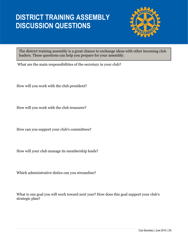## **DISTRICT TRAINING ASSEMBLY DISCUSSION QUESTIONS**



The district training assembly is a great chance to exchange ideas with other incoming club leaders. These questions can help you prepare for your assembly.

What are the main responsibilities of the secretary in your club?

How will you work with the club president?

How will you work with the club treasurer?

How can you support your club's committees?

How will your club manage its membership leads?

Which administrative duties can you streamline?

What is one goal you will work toward next year? How does this goal support your club's strategic plan?